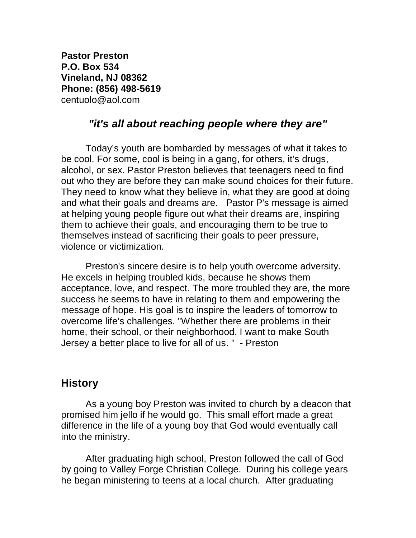**Pastor Preston P.O. Box 534 Vineland, NJ 08362 Phone: (856) 498-5619**  centuolo@aol.com

## *"it's all about reaching people where they are"*

Today's youth are bombarded by messages of what it takes to be cool. For some, cool is being in a gang, for others, it's drugs, alcohol, or sex. Pastor Preston believes that teenagers need to find out who they are before they can make sound choices for their future. They need to know what they believe in, what they are good at doing and what their goals and dreams are. Pastor P's message is aimed at helping young people figure out what their dreams are, inspiring them to achieve their goals, and encouraging them to be true to themselves instead of sacrificing their goals to peer pressure, violence or victimization.

Preston's sincere desire is to help youth overcome adversity. He excels in helping troubled kids, because he shows them acceptance, love, and respect. The more troubled they are, the more success he seems to have in relating to them and empowering the message of hope. His goal is to inspire the leaders of tomorrow to overcome life's challenges. "Whether there are problems in their home, their school, or their neighborhood. I want to make South Jersey a better place to live for all of us. " - Preston

## **History**

As a young boy Preston was invited to church by a deacon that promised him jello if he would go. This small effort made a great difference in the life of a young boy that God would eventually call into the ministry.

After graduating high school, Preston followed the call of God by going to Valley Forge Christian College. During his college years he began ministering to teens at a local church. After graduating